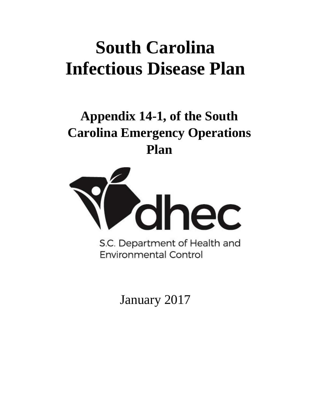# **South Carolina Infectious Disease Plan**

# **Appendix 14-1, of the South Carolina Emergency Operations Plan**



S.C. Department of Health and **Environmental Control** 

January 2017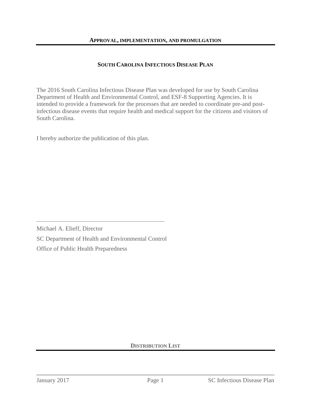#### **SOUTH CAROLINA INFECTIOUS DISEASE PLAN**

The 2016 South Carolina Infectious Disease Plan was developed for use by South Carolina Department of Health and Environmental Control, and ESF-8 Supporting Agencies. It is intended to provide a framework for the processes that are needed to coordinate pre-and postinfectious disease events that require health and medical support for the citizens and visitors of South Carolina.

I hereby authorize the publication of this plan.

Michael A. Elieff, Director SC Department of Health and Environmental Control Office of Public Health Preparedness

#### **DISTRIBUTION LIST**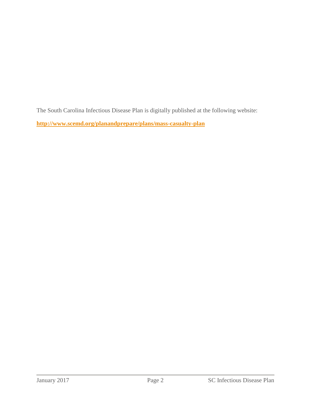The South Carolina Infectious Disease Plan is digitally published at the following website:

**<http://www.scemd.org/planandprepare/plans/mass-casualty-plan>**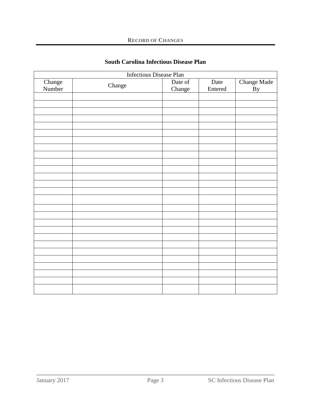| <b>Infectious Disease Plan</b> |        |                   |                 |                          |  |
|--------------------------------|--------|-------------------|-----------------|--------------------------|--|
| Change<br>Number               | Change | Date of<br>Change | Date<br>Entered | Change Made<br><b>By</b> |  |
|                                |        |                   |                 |                          |  |
|                                |        |                   |                 |                          |  |
|                                |        |                   |                 |                          |  |
|                                |        |                   |                 |                          |  |
|                                |        |                   |                 |                          |  |
|                                |        |                   |                 |                          |  |
|                                |        |                   |                 |                          |  |
|                                |        |                   |                 |                          |  |
|                                |        |                   |                 |                          |  |
|                                |        |                   |                 |                          |  |
|                                |        |                   |                 |                          |  |
|                                |        |                   |                 |                          |  |
|                                |        |                   |                 |                          |  |
|                                |        |                   |                 |                          |  |
|                                |        |                   |                 |                          |  |
|                                |        |                   |                 |                          |  |
|                                |        |                   |                 |                          |  |
|                                |        |                   |                 |                          |  |
|                                |        |                   |                 |                          |  |
|                                |        |                   |                 |                          |  |
|                                |        |                   |                 |                          |  |
|                                |        |                   |                 |                          |  |
|                                |        |                   |                 |                          |  |
|                                |        |                   |                 |                          |  |
|                                |        |                   |                 |                          |  |
|                                |        |                   |                 |                          |  |
|                                |        |                   |                 |                          |  |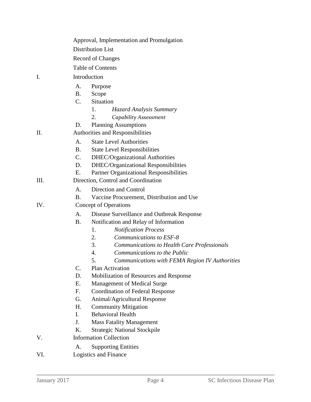|     | Approval, Implementation and Promulgation                |  |  |  |
|-----|----------------------------------------------------------|--|--|--|
|     | <b>Distribution List</b>                                 |  |  |  |
|     | Record of Changes                                        |  |  |  |
|     | <b>Table of Contents</b>                                 |  |  |  |
| I.  | Introduction                                             |  |  |  |
|     | A.<br>Purpose                                            |  |  |  |
|     | <b>B</b> .<br>Scope                                      |  |  |  |
|     | C.<br>Situation                                          |  |  |  |
|     | 1.<br>Hazard Analysis Summary                            |  |  |  |
|     | 2.<br>Capability Assessment                              |  |  |  |
|     | <b>Planning Assumptions</b><br>D.                        |  |  |  |
| Π.  | Authorities and Responsibilities                         |  |  |  |
|     | <b>State Level Authorities</b><br>A.                     |  |  |  |
|     | <b>B.</b><br><b>State Level Responsibilities</b>         |  |  |  |
|     | C.<br>DHEC/Organizational Authorities                    |  |  |  |
|     | DHEC/Organizational Responsibilities<br>D.               |  |  |  |
|     | Partner Organizational Responsibilities<br>Ε.            |  |  |  |
| Ш.  | Direction, Control and Coordination                      |  |  |  |
|     | Direction and Control<br>A.                              |  |  |  |
|     | <b>B</b> .<br>Vaccine Procurement, Distribution and Use  |  |  |  |
| IV. | <b>Concept of Operations</b>                             |  |  |  |
|     | A.<br>Disease Surveillance and Outbreak Response         |  |  |  |
|     | Notification and Relay of Information<br><b>B.</b>       |  |  |  |
|     | <b>Notification Process</b><br>1.                        |  |  |  |
|     | Communications to ESF-8<br>2.                            |  |  |  |
|     | 3.<br><b>Communications to Health Care Professionals</b> |  |  |  |
|     | 4.<br>Communications to the Public                       |  |  |  |
|     | 5.<br>Communications with FEMA Region IV Authorities     |  |  |  |
|     | Plan Activation<br>C.                                    |  |  |  |
|     | D.<br>Mobilization of Resources and Response             |  |  |  |
|     | Е.<br><b>Management of Medical Surge</b>                 |  |  |  |
|     | $F_{\cdot}$<br><b>Coordination of Federal Response</b>   |  |  |  |
|     | G.<br>Animal/Agricultural Response                       |  |  |  |
|     | H.<br><b>Community Mitigation</b>                        |  |  |  |
|     | <b>Behavioral Health</b><br>L.                           |  |  |  |
|     | J.<br><b>Mass Fatality Management</b>                    |  |  |  |
|     | <b>Strategic National Stockpile</b><br>Κ.                |  |  |  |
| V.  | <b>Information Collection</b>                            |  |  |  |
|     | <b>Supporting Entities</b><br>А.                         |  |  |  |
| VI. | Logistics and Finance                                    |  |  |  |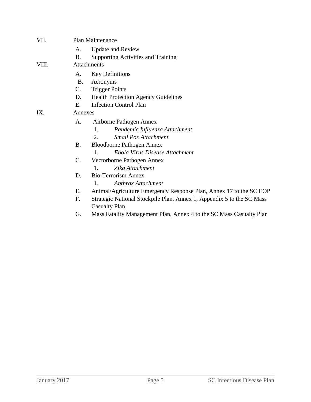| VII.  |           | <b>Plan Maintenance</b>                                               |  |  |  |  |
|-------|-----------|-----------------------------------------------------------------------|--|--|--|--|
|       | A.        | <b>Update and Review</b>                                              |  |  |  |  |
|       | <b>B.</b> | <b>Supporting Activities and Training</b>                             |  |  |  |  |
| VIII. |           | Attachments                                                           |  |  |  |  |
|       | A.        | <b>Key Definitions</b>                                                |  |  |  |  |
|       | <b>B.</b> | Acronyms                                                              |  |  |  |  |
|       | C.        | <b>Trigger Points</b>                                                 |  |  |  |  |
|       | D.        | <b>Health Protection Agency Guidelines</b>                            |  |  |  |  |
|       | E.        | <b>Infection Control Plan</b>                                         |  |  |  |  |
| IX.   |           | Annexes                                                               |  |  |  |  |
|       | A.        | Airborne Pathogen Annex                                               |  |  |  |  |
|       |           | Pandemic Influenza Attachment<br>1.                                   |  |  |  |  |
|       |           | <b>Small Pox Attachment</b><br>2.                                     |  |  |  |  |
|       | B.        | <b>Bloodborne Pathogen Annex</b>                                      |  |  |  |  |
|       |           | Ebola Virus Disease Attachment<br>$\mathbf{1}$ .                      |  |  |  |  |
|       | C.        | Vectorborne Pathogen Annex                                            |  |  |  |  |
|       |           | Zika Attachment<br>$\mathbf{1}$                                       |  |  |  |  |
|       | D.        | <b>Bio-Terrorism Annex</b>                                            |  |  |  |  |
|       |           | <b>Anthrax Attachment</b><br>$\mathbf{1}$ .                           |  |  |  |  |
|       | E.        | Animal/Agriculture Emergency Response Plan, Annex 17 to the SC EOP    |  |  |  |  |
|       | F.        | Strategic National Stockpile Plan, Annex 1, Appendix 5 to the SC Mass |  |  |  |  |
|       |           | <b>Casualty Plan</b>                                                  |  |  |  |  |
|       |           |                                                                       |  |  |  |  |

G. Mass Fatality Management Plan, Annex 4 to the SC Mass Casualty Plan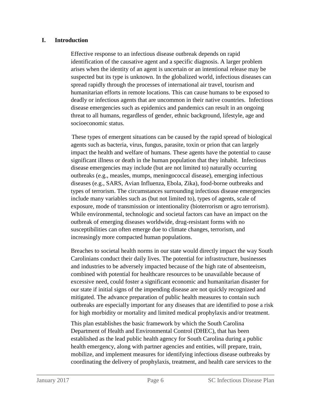#### **I. Introduction**

Effective response to an infectious disease outbreak depends on rapid identification of the causative agent and a specific diagnosis. A larger problem arises when the identity of an agent is uncertain or an intentional release may be suspected but its type is unknown. In the globalized world, infectious diseases can spread rapidly through the processes of international air travel, tourism and humanitarian efforts in remote locations. This can cause humans to be exposed to deadly or infectious agents that are uncommon in their native countries. Infectious disease emergencies such as epidemics and pandemics can result in an ongoing threat to all humans, regardless of gender, ethnic background, lifestyle, age and socioeconomic status.

 These types of emergent situations can be caused by the rapid spread of biological agents such as bacteria, virus, fungus, parasite, toxin or prion that can largely impact the health and welfare of humans. These agents have the potential to cause significant illness or death in the human population that they inhabit. Infectious disease emergencies may include (but are not limited to) naturally occurring outbreaks (e.g., measles, mumps, meningococcal disease), emerging infectious diseases (e.g., SARS, Avian Influenza, Ebola, Zika), food-borne outbreaks and types of terrorism. The circumstances surrounding infectious disease emergencies include many variables such as (but not limited to), types of agents, scale of exposure, mode of transmission or intentionality (bioterrorism or agro terrorism). While environmental, technologic and societal factors can have an impact on the outbreak of emerging diseases worldwide, drug-resistant forms with no susceptibilities can often emerge due to climate changes, terrorism, and increasingly more compacted human populations.

Breaches to societal health norms in our state would directly impact the way South Carolinians conduct their daily lives. The potential for infrastructure, businesses and industries to be adversely impacted because of the high rate of absenteeism, combined with potential for healthcare resources to be unavailable because of excessive need, could foster a significant economic and humanitarian disaster for our state if initial signs of the impending disease are not quickly recognized and mitigated. The advance preparation of public health measures to contain such outbreaks are especially important for any diseases that are identified to pose a risk for high morbidity or mortality and limited medical prophylaxis and/or treatment.

This plan establishes the basic framework by which the South Carolina Department of Health and Environmental Control (DHEC), that has been established as the lead public health agency for South Carolina during a public health emergency, along with partner agencies and entities, will prepare, train, mobilize, and implement measures for identifying infectious disease outbreaks by coordinating the delivery of prophylaxis, treatment, and health care services to the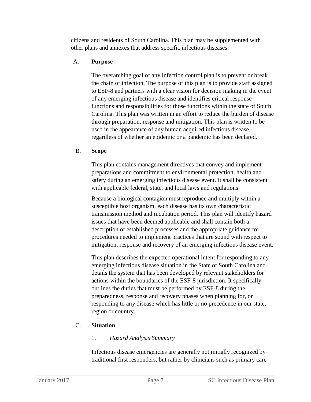citizens and residents of South Carolina. This plan may be supplemented with other plans and annexes that address specific infectious diseases.

# A. **Purpose**

The overarching goal of any infection control plan is to prevent or break the chain of infection. The purpose of this plan is to provide staff assigned to ESF-8 and partners with a clear vision for decision making in the event of any emerging infectious disease and identifies critical response functions and responsibilities for those functions within the state of South Carolina. This plan was written in an effort to reduce the burden of disease through preparation, response and mitigation. This plan is written to be used in the appearance of any human acquired infectious disease, regardless of whether an epidemic or a pandemic has been declared.

# B. **Scope**

This plan contains management directives that convey and implement preparations and commitment to environmental protection, health and safety during an emerging infectious disease event. It shall be consistent with applicable federal, state, and local laws and regulations.

Because a biological contagion must reproduce and multiply within a susceptible host organism, each disease has its own characteristic transmission method and incubation period. This plan will identify hazard issues that have been deemed applicable and shall contain both a description of established processes and the appropriate guidance for procedures needed to implement practices that are sound with respect to mitigation, response and recovery of an emerging infectious disease event.

This plan describes the expected operational intent for responding to any emerging infectious disease situation in the State of South Carolina and details the system that has been developed by relevant stakeholders for actions within the boundaries of the ESF-8 jurisdiction. It specifically outlines the duties that must be performed by ESF-8 during the preparedness, response and recovery phases when planning for, or responding to any disease which has little or no precedence in our state, region or country.

# C. **Situation**

# 1. *Hazard Analysis Summary*

Infectious disease emergencies are generally not initially recognized by traditional first responders, but rather by clinicians such as primary care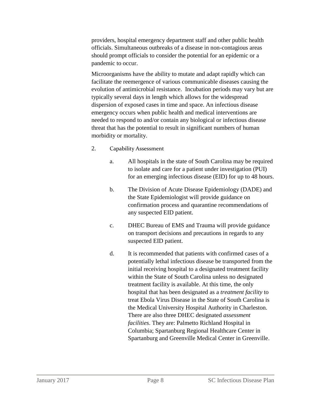providers, hospital emergency department staff and other public health officials. Simultaneous outbreaks of a disease in non-contagious areas should prompt officials to consider the potential for an epidemic or a pandemic to occur.

Microorganisms have the ability to mutate and adapt rapidly which can facilitate the reemergence of various communicable diseases causing the evolution of antimicrobial resistance. Incubation periods may vary but are typically several days in length which allows for the widespread dispersion of exposed cases in time and space. An infectious disease emergency occurs when public health and medical interventions are needed to respond to and/or contain any biological or infectious disease threat that has the potential to result in significant numbers of human morbidity or mortality.

- 2. Capability Assessment
	- a. All hospitals in the state of South Carolina may be required to isolate and care for a patient under investigation (PUI) for an emerging infectious disease (EID) for up to 48 hours.
	- b. The Division of Acute Disease Epidemiology (DADE) and the State Epidemiologist will provide guidance on confirmation process and quarantine recommendations of any suspected EID patient.
	- c. DHEC Bureau of EMS and Trauma will provide guidance on transport decisions and precautions in regards to any suspected EID patient.
	- d. It is recommended that patients with confirmed cases of a potentially lethal infectious disease be transported from the initial receiving hospital to a designated treatment facility within the State of South Carolina unless no designated treatment facility is available. At this time, the only hospital that has been designated as a *treatment facility* to treat Ebola Virus Disease in the State of South Carolina is the Medical University Hospital Authority in Charleston. There are also three DHEC designated *assessment facilities*. They are: Palmetto Richland Hospital in Columbia; Spartanburg Regional Healthcare Center in Spartanburg and Greenville Medical Center in Greenville.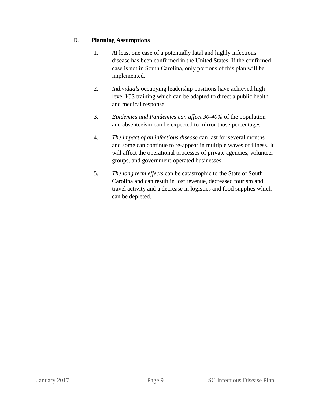# D. **Planning Assumptions**

- 1. *A*t least one case of a potentially fatal and highly infectious disease has been confirmed in the United States. If the confirmed case is not in South Carolina, only portions of this plan will be implemented.
- 2. *Individuals* occupying leadership positions have achieved high level ICS training which can be adapted to direct a public health and medical response.
- 3. *Epidemics and Pandemics can affect 30-40%* of the population and absenteeism can be expected to mirror those percentages.
- 4. *The impact of an infectious disease* can last for several months and some can continue to re-appear in multiple waves of illness. It will affect the operational processes of private agencies, volunteer groups, and government-operated businesses.
- 5. *The long term effects* can be catastrophic to the State of South Carolina and can result in lost revenue, decreased tourism and travel activity and a decrease in logistics and food supplies which can be depleted.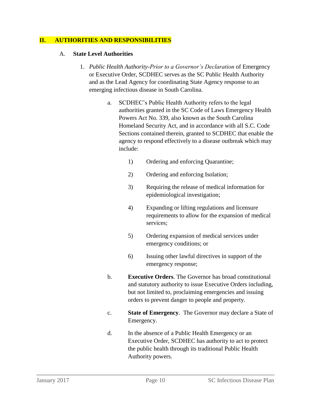#### **II. AUTHORITIES AND RESPONSIBILITIES**

#### A. **State Level Authorities**

- 1. *Public Health Authority-Prior to a Governor's Declaration* of Emergency or Executive Order, SCDHEC serves as the SC Public Health Authority and as the Lead Agency for coordinating State Agency response to an emerging infectious disease in South Carolina.
	- a. SCDHEC's Public Health Authority refers to the legal authorities granted in the SC Code of Laws Emergency Health Powers Act No. 339, also known as the South Carolina Homeland Security Act, and in accordance with all S.C. Code Sections contained therein, granted to SCDHEC that enable the agency to respond effectively to a disease outbreak which may include:
		- 1) Ordering and enforcing Quarantine;
		- 2) Ordering and enforcing Isolation;
		- 3) Requiring the release of medical information for epidemiological investigation;
		- 4) Expanding or lifting regulations and licensure requirements to allow for the expansion of medical services;
		- 5) Ordering expansion of medical services under emergency conditions; or
		- 6) Issuing other lawful directives in support of the emergency response;
	- b. **Executive Orders**. The Governor has broad constitutional and statutory authority to issue Executive Orders including, but not limited to, proclaiming emergencies and issuing orders to prevent danger to people and property.
	- c. **State of Emergency**. The Governor may declare a State of Emergency.
	- d. In the absence of a Public Health Emergency or an Executive Order, SCDHEC has authority to act to protect the public health through its traditional Public Health Authority powers.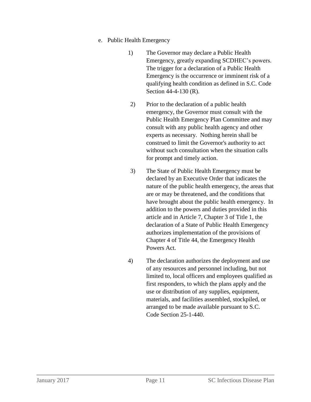- e. Public Health Emergency
	- 1) The Governor may declare a Public Health Emergency, greatly expanding SCDHEC's powers. The trigger for a declaration of a Public Health Emergency is the occurrence or imminent risk of a qualifying health condition as defined in S.C. Code Section 44-4-130 (R).
	- 2) Prior to the declaration of a public health emergency, the Governor must consult with the Public Health Emergency Plan Committee and may consult with any public health agency and other experts as necessary. Nothing herein shall be construed to limit the Governor's authority to act without such consultation when the situation calls for prompt and timely action.
	- 3) The State of Public Health Emergency must be declared by an Executive Order that indicates the nature of the public health emergency, the areas that are or may be threatened, and the conditions that have brought about the public health emergency. In addition to the powers and duties provided in this article and in Article 7, Chapter 3 of Title 1, the declaration of a State of Public Health Emergency authorizes implementation of the provisions of Chapter 4 of Title 44, the Emergency Health Powers Act.
	- 4) The declaration authorizes the deployment and use of any resources and personnel including, but not limited to, local officers and employees qualified as first responders, to which the plans apply and the use or distribution of any supplies, equipment, materials, and facilities assembled, stockpiled, or arranged to be made available pursuant to S.C. Code Section 25-1-440.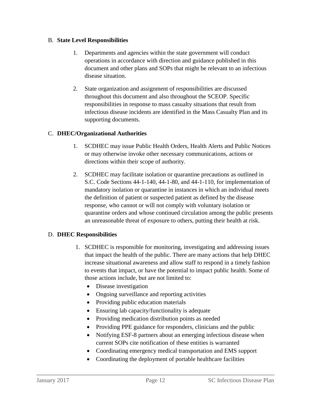#### B. **State Level Responsibilities**

- 1. Departments and agencies within the state government will conduct operations in accordance with direction and guidance published in this document and other plans and SOPs that might be relevant to an infectious disease situation.
- 2. State organization and assignment of responsibilities are discussed throughout this document and also throughout the SCEOP. Specific responsibilities in response to mass casualty situations that result from infectious disease incidents are identified in the Mass Casualty Plan and its supporting documents.

# C. **DHEC/Organizational Authorities**

- 1. SCDHEC may issue Public Health Orders, Health Alerts and Public Notices or may otherwise invoke other necessary communications, actions or directions within their scope of authority.
- 2. SCDHEC may facilitate isolation or quarantine precautions as outlined in S.C. Code Sections 44-1-140, 44-1-80, and 44-1-110, for implementation of mandatory isolation or quarantine in instances in which an individual meets the definition of patient or suspected patient as defined by the disease response, who cannot or will not comply with voluntary isolation or quarantine orders and whose continued circulation among the public presents an unreasonable threat of exposure to others, putting their health at risk.

# D. **DHEC Responsibilities**

- 1. SCDHEC is responsible for monitoring, investigating and addressing issues that impact the health of the public. There are many actions that help DHEC increase situational awareness and allow staff to respond in a timely fashion to events that impact, or have the potential to impact public health. Some of those actions include, but are not limited to:
	- Disease investigation
	- Ongoing surveillance and reporting activities
	- Providing public education materials
	- Ensuring lab capacity/functionality is adequate
	- Providing medication distribution points as needed
	- Providing PPE guidance for responders, clinicians and the public
	- Notifying ESF-8 partners about an emerging infectious disease when current SOPs cite notification of these entities is warranted
	- Coordinating emergency medical transportation and EMS support
	- Coordinating the deployment of portable healthcare facilities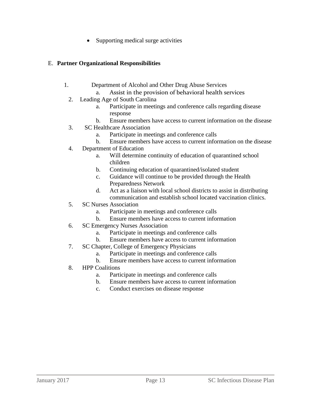• Supporting medical surge activities

#### E. **Partner Organizational Responsibilities**

- 1. Department of Alcohol and Other Drug Abuse Services
	- a. Assist in the provision of behavioral health services
	- 2. Leading Age of South Carolina
		- a. Participate in meetings and conference calls regarding disease response
		- b. Ensure members have access to current information on the disease
	- 3. SC Healthcare Association
		- a. Participate in meetings and conference calls
		- b. Ensure members have access to current information on the disease
	- 4. Department of Education
		- a. Will determine continuity of education of quarantined school children
		- b. Continuing education of quarantined/isolated student
		- c. Guidance will continue to be provided through the Health Preparedness Network
		- d. Act as a liaison with local school districts to assist in distributing communication and establish school located vaccination clinics.
	- 5. SC Nurses Association
		- a. Participate in meetings and conference calls
		- b. Ensure members have access to current information
	- 6. SC Emergency Nurses Association
		- a. Participate in meetings and conference calls
		- b. Ensure members have access to current information
	- 7. SC Chapter, College of Emergency Physicians
		- a. Participate in meetings and conference calls
		- b. Ensure members have access to current information
	- 8. HPP Coalitions
		- a. Participate in meetings and conference calls
		- b. Ensure members have access to current information
		- c. Conduct exercises on disease response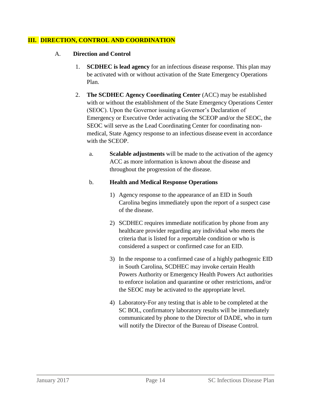#### **III. DIRECTION, CONTROL AND COORDINATION**

- A. **Direction and Control**
	- 1. **SCDHEC is lead agency** for an infectious disease response. This plan may be activated with or without activation of the State Emergency Operations Plan.
	- 2. **The SCDHEC Agency Coordinating Center** (ACC) may be established with or without the establishment of the State Emergency Operations Center (SEOC). Upon the Governor issuing a Governor's Declaration of Emergency or Executive Order activating the SCEOP and/or the SEOC, the SEOC will serve as the Lead Coordinating Center for coordinating nonmedical, State Agency response to an infectious disease event in accordance with the SCEOP.
		- a. **Scalable adjustments** will be made to the activation of the agency ACC as more information is known about the disease and throughout the progression of the disease.

#### b. **Health and Medical Response Operations**

- 1) Agency response to the appearance of an EID in South Carolina begins immediately upon the report of a suspect case of the disease.
- 2) SCDHEC requires immediate notification by phone from any healthcare provider regarding any individual who meets the criteria that is listed for a reportable condition or who is considered a suspect or confirmed case for an EID.
- 3) In the response to a confirmed case of a highly pathogenic EID in South Carolina, SCDHEC may invoke certain Health Powers Authority or Emergency Health Powers Act authorities to enforce isolation and quarantine or other restrictions, and/or the SEOC may be activated to the appropriate level.
- 4) Laboratory-For any testing that is able to be completed at the SC BOL, confirmatory laboratory results will be immediately communicated by phone to the Director of DADE, who in turn will notify the Director of the Bureau of Disease Control.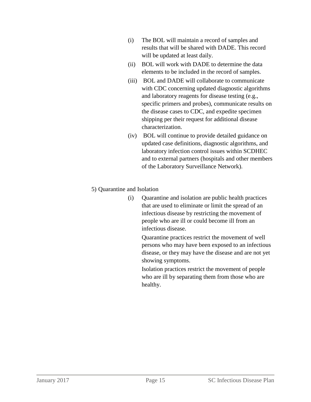- (i) The BOL will maintain a record of samples and results that will be shared with DADE. This record will be updated at least daily.
- (ii) BOL will work with DADE to determine the data elements to be included in the record of samples.
- (iii) BOL and DADE will collaborate to communicate with CDC concerning updated diagnostic algorithms and laboratory reagents for disease testing (e.g., specific primers and probes), communicate results on the disease cases to CDC, and expedite specimen shipping per their request for additional disease characterization.
- (iv) BOL will continue to provide detailed guidance on updated case definitions, diagnostic algorithms, and laboratory infection control issues within SCDHEC and to external partners (hospitals and other members of the Laboratory Surveillance Network).

#### 5) Quarantine and Isolation

(i) Quarantine and isolation are public health practices that are used to eliminate or limit the spread of an infectious disease by restricting the movement of people who are ill or could become ill from an infectious disease.

Quarantine practices restrict the movement of well persons who may have been exposed to an infectious disease, or they may have the disease and are not yet showing symptoms.

Isolation practices restrict the movement of people who are ill by separating them from those who are healthy.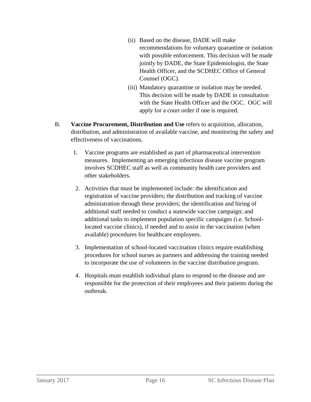- (ii) Based on the disease, DADE will make recommendations for voluntary quarantine or isolation with possible enforcement. This decision will be made jointly by DADE, the State Epidemiologist, the State Health Officer, and the SCDHEC Office of General Counsel (OGC).
- (iii) Mandatory quarantine or isolation may be needed. This decision will be made by DADE in consultation with the State Health Officer and the OGC. OGC will apply for a court order if one is required.
- B. **Vaccine Procurement, Distribution and Use** refers to acquisition, allocation, distribution, and administration of available vaccine, and monitoring the safety and effectiveness of vaccinations.
	- 1. Vaccine programs are established as part of pharmaceutical intervention measures. Implementing an emerging infectious disease vaccine program involves SCDHEC staff as well as community health care providers and other stakeholders.
	- 2. Activities that must be implemented include: the identification and registration of vaccine providers; the distribution and tracking of vaccine administration through these providers; the identification and hiring of additional staff needed to conduct a statewide vaccine campaign; and additional tasks to implement population specific campaigns (i.e. Schoollocated vaccine clinics), if needed and to assist in the vaccination (when available) procedures for healthcare employees.
	- 3. Implementation of school-located vaccination clinics require establishing procedures for school nurses as partners and addressing the training needed to incorporate the use of volunteers in the vaccine distribution program.
	- 4. Hospitals must establish individual plans to respond to the disease and are responsible for the protection of their employees and their patients during the outbreak.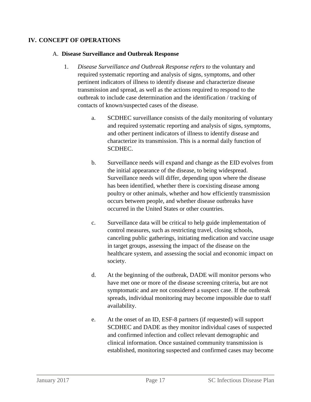#### **IV. CONCEPT OF OPERATIONS**

#### A. **Disease Surveillance and Outbreak Response**

- 1. *Disease Surveillance and Outbreak Response refers to* the voluntary and required systematic reporting and analysis of signs, symptoms, and other pertinent indicators of illness to identify disease and characterize disease transmission and spread, as well as the actions required to respond to the outbreak to include case determination and the identification / tracking of contacts of known/suspected cases of the disease.
	- a. SCDHEC surveillance consists of the daily monitoring of voluntary and required systematic reporting and analysis of signs, symptoms, and other pertinent indicators of illness to identify disease and characterize its transmission. This is a normal daily function of SCDHEC.
	- b. Surveillance needs will expand and change as the EID evolves from the initial appearance of the disease, to being widespread. Surveillance needs will differ, depending upon where the disease has been identified, whether there is coexisting disease among poultry or other animals, whether and how efficiently transmission occurs between people, and whether disease outbreaks have occurred in the United States or other countries.
	- c. Surveillance data will be critical to help guide implementation of control measures, such as restricting travel, closing schools, canceling public gatherings, initiating medication and vaccine usage in target groups, assessing the impact of the disease on the healthcare system, and assessing the social and economic impact on society.
	- d. At the beginning of the outbreak, DADE will monitor persons who have met one or more of the disease screening criteria, but are not symptomatic and are not considered a suspect case. If the outbreak spreads, individual monitoring may become impossible due to staff availability.
	- e. At the onset of an ID, ESF-8 partners (if requested) will support SCDHEC and DADE as they monitor individual cases of suspected and confirmed infection and collect relevant demographic and clinical information. Once sustained community transmission is established, monitoring suspected and confirmed cases may become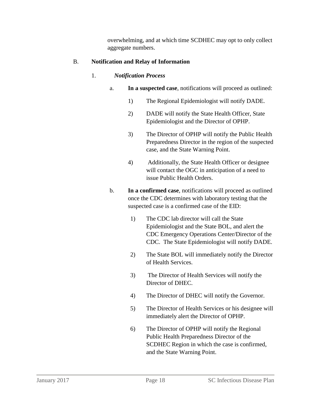overwhelming, and at which time SCDHEC may opt to only collect aggregate numbers.

# B. **Notification and Relay of Information**

# 1. *Notification Process*

- a. **In a suspected case**, notifications will proceed as outlined:
	- 1) The Regional Epidemiologist will notify DADE.
	- 2) DADE will notify the State Health Officer, State Epidemiologist and the Director of OPHP.
	- 3) The Director of OPHP will notify the Public Health Preparedness Director in the region of the suspected case, and the State Warning Point.
	- 4) Additionally, the State Health Officer or designee will contact the OGC in anticipation of a need to issue Public Health Orders.
- b. **In a confirmed case**, notifications will proceed as outlined once the CDC determines with laboratory testing that the suspected case is a confirmed case of the EID:
	- 1) The CDC lab director will call the State Epidemiologist and the State BOL, and alert the CDC Emergency Operations Center/Director of the CDC. The State Epidemiologist will notify DADE.
	- 2) The State BOL will immediately notify the Director of Health Services.
	- 3) The Director of Health Services will notify the Director of DHEC.
	- 4) The Director of DHEC will notify the Governor.
	- 5) The Director of Health Services or his designee will immediately alert the Director of OPHP.
	- 6) The Director of OPHP will notify the Regional Public Health Preparedness Director of the SCDHEC Region in which the case is confirmed, and the State Warning Point.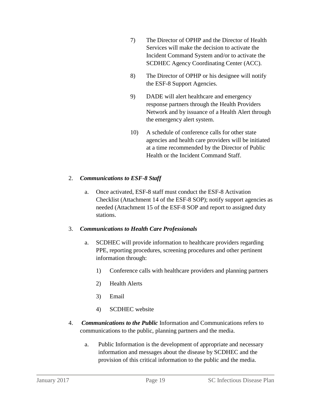- 7) The Director of OPHP and the Director of Health Services will make the decision to activate the Incident Command System and/or to activate the SCDHEC Agency Coordinating Center (ACC).
- 8) The Director of OPHP or his designee will notify the ESF-8 Support Agencies.
- 9) DADE will alert healthcare and emergency response partners through the Health Providers Network and by issuance of a Health Alert through the emergency alert system.
- 10) A schedule of conference calls for other state agencies and health care providers will be initiated at a time recommended by the Director of Public Health or the Incident Command Staff.

# 2. *Communications to ESF-8 Staff*

a. Once activated, ESF-8 staff must conduct the ESF-8 Activation Checklist (Attachment 14 of the ESF-8 SOP); notify support agencies as needed (Attachment 15 of the ESF-8 SOP and report to assigned duty stations.

# 3. *Communications to Health Care Professionals*

- a. SCDHEC will provide information to healthcare providers regarding PPE, reporting procedures, screening procedures and other pertinent information through:
	- 1) Conference calls with healthcare providers and planning partners
	- 2) Health Alerts
	- 3) Email
	- 4) SCDHEC website
- 4. *Communications to the Public* Information and Communications refers to communications to the public, planning partners and the media.
	- a. Public Information is the development of appropriate and necessary information and messages about the disease by SCDHEC and the provision of this critical information to the public and the media.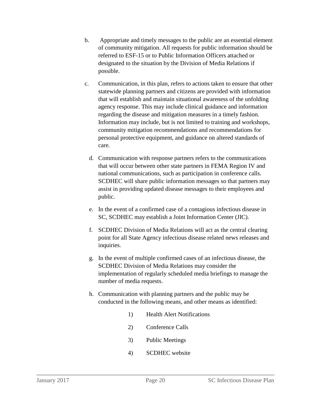- b. Appropriate and timely messages to the public are an essential element of community mitigation. All requests for public information should be referred to ESF-15 or to Public Information Officers attached or designated to the situation by the Division of Media Relations if possible.
- c. Communication, in this plan, refers to actions taken to ensure that other statewide planning partners and citizens are provided with information that will establish and maintain situational awareness of the unfolding agency response. This may include clinical guidance and information regarding the disease and mitigation measures in a timely fashion. Information may include, but is not limited to training and workshops, community mitigation recommendations and recommendations for personal protective equipment, and guidance on altered standards of care.
	- d. Communication with response partners refers to the communications that will occur between other state partners in FEMA Region IV and national communications, such as participation in conference calls. SCDHEC will share public information messages so that partners may assist in providing updated disease messages to their employees and public.
	- e. In the event of a confirmed case of a contagious infectious disease in SC, SCDHEC may establish a Joint Information Center (JIC).
	- f. SCDHEC Division of Media Relations will act as the central clearing point for all State Agency infectious disease related news releases and inquiries.
	- g. In the event of multiple confirmed cases of an infectious disease, the SCDHEC Division of Media Relations may consider the implementation of regularly scheduled media briefings to manage the number of media requests.
	- h. Communication with planning partners and the public may be conducted in the following means, and other means as identified:
		- 1) Health Alert Notifications
		- 2) Conference Calls
		- 3) Public Meetings
		- 4) SCDHEC website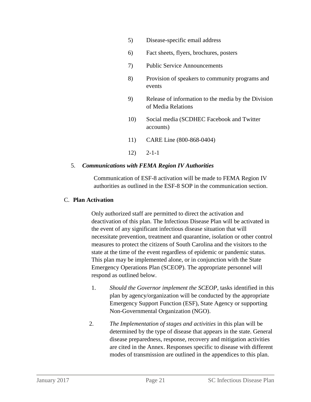- 5) Disease-specific email address
- 6) Fact sheets, flyers, brochures, posters
- 7) Public Service Announcements
- 8) Provision of speakers to community programs and events
- 9) Release of information to the media by the Division of Media Relations
- 10) Social media (SCDHEC Facebook and Twitter accounts)
- 11) CARE Line (800-868-0404)
- 12) 2-1-1

#### 5. *Communications with FEMA Region IV Authorities*

Communication of ESF-8 activation will be made to FEMA Region IV authorities as outlined in the ESF-8 SOP in the communication section.

#### C. **Plan Activation**

Only authorized staff are permitted to direct the activation and deactivation of this plan. The Infectious Disease Plan will be activated in the event of any significant infectious disease situation that will necessitate prevention, treatment and quarantine, isolation or other control measures to protect the citizens of South Carolina and the visitors to the state at the time of the event regardless of epidemic or pandemic status. This plan may be implemented alone, or in conjunction with the State Emergency Operations Plan (SCEOP). The appropriate personnel will respond as outlined below.

- 1. *Should the Governor implement the SCEOP*, tasks identified in this plan by agency/organization will be conducted by the appropriate Emergency Support Function (ESF), State Agency or supporting Non-Governmental Organization (NGO).
- 2. *The Implementation of stages and activities* in this plan will be determined by the type of disease that appears in the state. General disease preparedness, response, recovery and mitigation activities are cited in the Annex. Responses specific to disease with different modes of transmission are outlined in the appendices to this plan.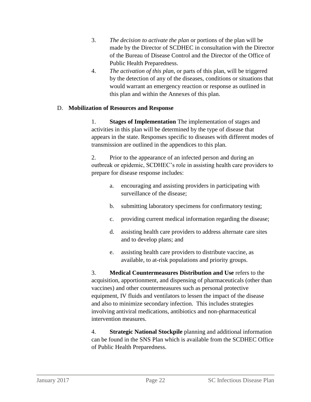- 3. *The decision to activate the plan* or portions of the plan will be made by the Director of SCDHEC in consultation with the Director of the Bureau of Disease Control and the Director of the Office of Public Health Preparedness.
- 4. *The activation of this plan*, or parts of this plan, will be triggered by the detection of any of the diseases, conditions or situations that would warrant an emergency reaction or response as outlined in this plan and within the Annexes of this plan.

#### D. **Mobilization of Resources and Response**

1. **Stages of Implementation** The implementation of stages and activities in this plan will be determined by the type of disease that appears in the state. Responses specific to diseases with different modes of transmission are outlined in the appendices to this plan.

2. Prior to the appearance of an infected person and during an outbreak or epidemic, SCDHEC's role in assisting health care providers to prepare for disease response includes:

- a. encouraging and assisting providers in participating with surveillance of the disease;
- b. submitting laboratory specimens for confirmatory testing;
- c. providing current medical information regarding the disease;
- d. assisting health care providers to address alternate care sites and to develop plans; and
- e. assisting health care providers to distribute vaccine, as available, to at-risk populations and priority groups.

3. **Medical Countermeasures Distribution and Use** refers to the acquisition, apportionment, and dispensing of pharmaceuticals (other than vaccines) and other countermeasures such as personal protective equipment, IV fluids and ventilators to lessen the impact of the disease and also to minimize secondary infection. This includes strategies involving antiviral medications, antibiotics and non-pharmaceutical intervention measures.

4. **Strategic National Stockpile** planning and additional information can be found in the SNS Plan which is available from the SCDHEC Office of Public Health Preparedness.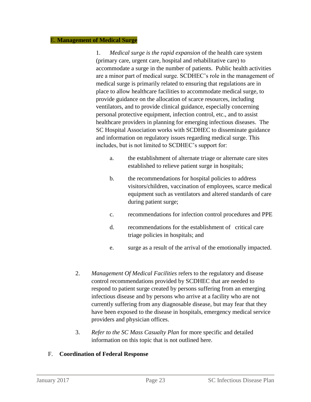#### E. **Management of Medical Surge**

1. *Medical surge is the rapid expansion* of the health care system (primary care, urgent care, hospital and rehabilitative care) to accommodate a surge in the number of patients. Public health activities are a minor part of medical surge. SCDHEC's role in the management of medical surge is primarily related to ensuring that regulations are in place to allow healthcare facilities to accommodate medical surge, to provide guidance on the allocation of scarce resources, including ventilators, and to provide clinical guidance, especially concerning personal protective equipment, infection control, etc., and to assist healthcare providers in planning for emerging infectious diseases. The SC Hospital Association works with SCDHEC to disseminate guidance and information on regulatory issues regarding medical surge. This includes, but is not limited to SCDHEC's support for:

- a. the establishment of alternate triage or alternate care sites established to relieve patient surge in hospitals;
- b. the recommendations for hospital policies to address visitors/children, vaccination of employees, scarce medical equipment such as ventilators and altered standards of care during patient surge;
- c. recommendations for infection control procedures and PPE
- d. recommendations for the establishment of critical care triage policies in hospitals; and
- e. surge as a result of the arrival of the emotionally impacted.
- 2. *Management Of Medical Facilities* refers to the regulatory and disease control recommendations provided by SCDHEC that are needed to respond to patient surge created by persons suffering from an emerging infectious disease and by persons who arrive at a facility who are not currently suffering from any diagnosable disease, but may fear that they have been exposed to the disease in hospitals, emergency medical service providers and physician offices.
- 3. *Refer to the SC Mass Casualty Plan* for more specific and detailed information on this topic that is not outlined here.

#### F. **Coordination of Federal Response**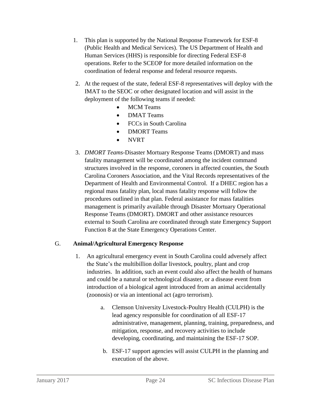- 1. This plan is supported by the National Response Framework for ESF-8 (Public Health and Medical Services). The US Department of Health and Human Services (HHS) is responsible for directing Federal ESF-8 operations. Refer to the SCEOP for more detailed information on the coordination of federal response and federal resource requests.
- 2. At the request of the state, federal ESF-8 representatives will deploy with the IMAT to the SEOC or other designated location and will assist in the deployment of the following teams if needed:
	- MCM Teams
	- **DMAT Teams**
	- FCCs in South Carolina
	- DMORT Teams
	- NVRT
- 3. *DMORT Teams*-Disaster Mortuary Response Teams (DMORT) and mass fatality management will be coordinated among the incident command structures involved in the response, coroners in affected counties, the South Carolina Coroners Association, and the Vital Records representatives of the Department of Health and Environmental Control. If a DHEC region has a regional mass fatality plan, local mass fatality response will follow the procedures outlined in that plan. Federal assistance for mass fatalities management is primarily available through Disaster Mortuary Operational Response Teams (DMORT). DMORT and other assistance resources external to South Carolina are coordinated through state Emergency Support Function 8 at the State Emergency Operations Center.

#### G. **Animal/Agricultural Emergency Response**

- 1. An agricultural emergency event in South Carolina could adversely affect the State's the multibillion dollar livestock, poultry, plant and crop industries. In addition, such an event could also affect the health of humans and could be a natural or technological disaster, or a disease event from introduction of a biological agent introduced from an animal accidentally (zoonosis) or via an intentional act (agro terrorism).
	- a. Clemson University Livestock-Poultry Health (CULPH) is the lead agency responsible for coordination of all ESF-17 administrative, management, planning, training, preparedness, and mitigation, response, and recovery activities to include developing, coordinating, and maintaining the ESF-17 SOP.
	- b. ESF-17 support agencies will assist CULPH in the planning and execution of the above.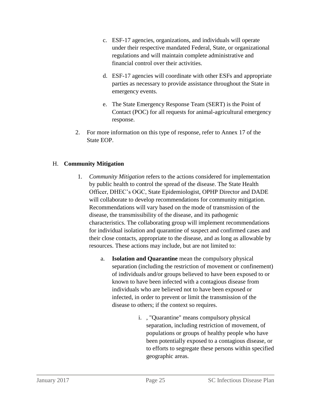- c. ESF-17 agencies, organizations, and individuals will operate under their respective mandated Federal, State, or organizational regulations and will maintain complete administrative and financial control over their activities.
- d. ESF-17 agencies will coordinate with other ESFs and appropriate parties as necessary to provide assistance throughout the State in emergency events.
- e. The State Emergency Response Team (SERT) is the Point of Contact (POC) for all requests for animal-agricultural emergency response.
- 2. For more information on this type of response, refer to Annex 17 of the State EOP.

# H. **Community Mitigation**

- 1. *Community Mitigation* refers to the actions considered for implementation by public health to control the spread of the disease. The State Health Officer, DHEC's OGC, State Epidemiologist, OPHP Director and DADE will collaborate to develop recommendations for community mitigation. Recommendations will vary based on the mode of transmission of the disease, the transmissibility of the disease, and its pathogenic characteristics. The collaborating group will implement recommendations for individual isolation and quarantine of suspect and confirmed cases and their close contacts, appropriate to the disease, and as long as allowable by resources. These actions may include, but are not limited to:
	- a. **Isolation and Quarantine** mean the compulsory physical separation (including the restriction of movement or confinement) of individuals and/or groups believed to have been exposed to or known to have been infected with a contagious disease from individuals who are believed not to have been exposed or infected, in order to prevent or limit the transmission of the disease to others; if the context so requires.
		- i. , "Quarantine" means compulsory physical separation, including restriction of movement, of populations or groups of healthy people who have been potentially exposed to a contagious disease, or to efforts to segregate these persons within specified geographic areas.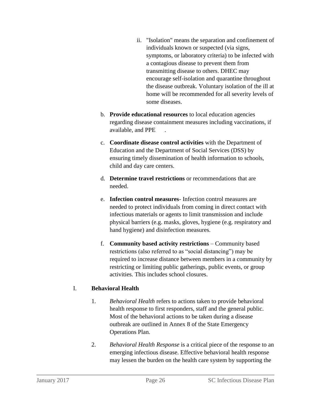- ii. "Isolation" means the separation and confinement of individuals known or suspected (via signs, symptoms, or laboratory criteria) to be infected with a contagious disease to prevent them from transmitting disease to others. DHEC may encourage self-isolation and quarantine throughout the disease outbreak. Voluntary isolation of the ill at home will be recommended for all severity levels of some diseases.
- b. **Provide educational resources** to local education agencies regarding disease containment measures including vaccinations, if available, and PPE .
- c. **Coordinate disease control activities** with the Department of Education and the Department of Social Services (DSS) by ensuring timely dissemination of health information to schools, child and day care centers.
- d. **Determine travel restrictions** or recommendations that are needed.
- e. **Infection control measures** Infection control measures are needed to protect individuals from coming in direct contact with infectious materials or agents to limit transmission and include physical barriers (e.g. masks, gloves, hygiene (e.g. respiratory and hand hygiene) and disinfection measures.
- f. **Community based activity restrictions** Community based restrictions (also referred to as "social distancing") may be required to increase distance between members in a community by restricting or limiting public gatherings, public events, or group activities. This includes school closures.

# I. **Behavioral Health**

- 1. *Behavioral Health* refers to actions taken to provide behavioral health response to first responders, staff and the general public. Most of the behavioral actions to be taken during a disease outbreak are outlined in Annex 8 of the State Emergency Operations Plan.
- 2. *Behavioral Health Response* is a critical piece of the response to an emerging infectious disease. Effective behavioral health response may lessen the burden on the health care system by supporting the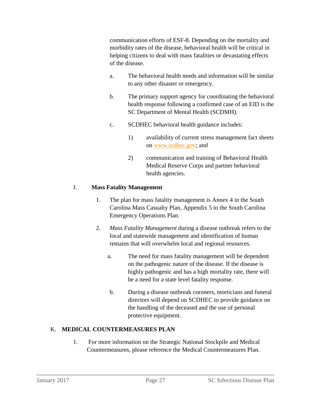communication efforts of ESF-8. Depending on the mortality and morbidity rates of the disease, behavioral health will be critical in helping citizens to deal with mass fatalities or devastating effects of the disease.

- a. The behavioral health needs and information will be similar to any other disaster or emergency.
- b. The primary support agency for coordinating the behavioral health response following a confirmed case of an EID is the SC Department of Mental Health (SCDMH).
- c. SCDHEC behavioral health guidance includes:
	- 1) availability of current stress management fact sheets on [www.scdhec.gov;](http://www.scdhec.gov/) and
	- 2) communication and training of Behavioral Health Medical Reserve Corps and partner behavioral health agencies.

# J. **Mass Fatality Management**

- 1. The plan for mass fatality management is Annex 4 in the South Carolina Mass Casualty Plan, Appendix 5 to the South Carolina Emergency Operations Plan.
- 2. *Mass Fatality Management* during a disease outbreak refers to the local and statewide management and identification of human remains that will overwhelm local and regional resources.
	- a. The need for mass fatality management will be dependent on the pathogenic nature of the disease. If the disease is highly pathogenic and has a high mortality rate, there will be a need for a state level fatality response.
	- b. During a disease outbreak coroners, morticians and funeral directors will depend on SCDHEC to provide guidance on the handling of the deceased and the use of personal protective equipment.

# K. **MEDICAL COUNTERMEASURES PLAN**

1. For more information on the Strategic National Stockpile and Medical Countermeasures, please reference the Medical Countermeasures Plan.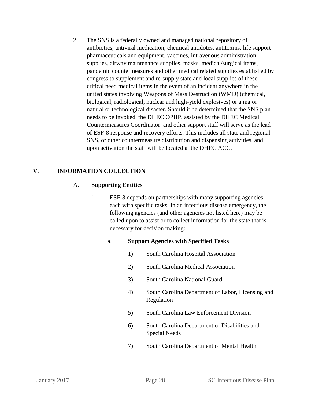2. The SNS is a federally owned and managed national repository of antibiotics, antiviral medication, chemical antidotes, antitoxins, life support pharmaceuticals and equipment, vaccines, intravenous administration supplies, airway maintenance supplies, masks, medical/surgical items, pandemic countermeasures and other medical related supplies established by congress to supplement and re-supply state and local supplies of these critical need medical items in the event of an incident anywhere in the united states involving Weapons of Mass Destruction (WMD) (chemical, biological, radiological, nuclear and high-yield explosives) or a major natural or technological disaster. Should it be determined that the SNS plan needs to be invoked, the DHEC OPHP, assisted by the DHEC Medical Countermeasures Coordinator and other support staff will serve as the lead of ESF-8 response and recovery efforts. This includes all state and regional SNS, or other countermeasure distribution and dispensing activities, and upon activation the staff will be located at the DHEC ACC.

# **V. INFORMATION COLLECTION**

# A. **Supporting Entities**

1. ESF-8 depends on partnerships with many supporting agencies, each with specific tasks. In an infectious disease emergency, the following agencies (and other agencies not listed here) may be called upon to assist or to collect information for the state that is necessary for decision making:

# a. **Support Agencies with Specified Tasks**

- 1) South Carolina Hospital Association
- 2) South Carolina Medical Association
- 3) South Carolina National Guard
- 4) South Carolina Department of Labor, Licensing and Regulation
- 5) South Carolina Law Enforcement Division
- 6) South Carolina Department of Disabilities and Special Needs
- 7) South Carolina Department of Mental Health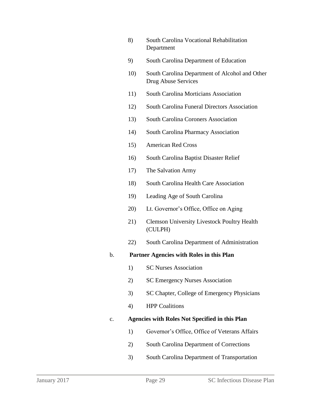- 8) South Carolina Vocational Rehabilitation Department
- 9) South Carolina Department of Education
- 10) South Carolina Department of Alcohol and Other Drug Abuse Services
- 11) South Carolina Morticians Association
- 12) South Carolina Funeral Directors Association
- 13) South Carolina Coroners Association
- 14) South Carolina Pharmacy Association
- 15) American Red Cross
- 16) South Carolina Baptist Disaster Relief
- 17) The Salvation Army
- 18) South Carolina Health Care Association
- 19) Leading Age of South Carolina
- 20) Lt. Governor's Office, Office on Aging
- 21) Clemson University Livestock Poultry Health (CULPH)
- 22) South Carolina Department of Administration

#### b. **Partner Agencies with Roles in this Plan**

- 1) SC Nurses Association
- 2) SC Emergency Nurses Association
- 3) SC Chapter, College of Emergency Physicians
- 4) HPP Coalitions

# c. **Agencies with Roles Not Specified in this Plan**

- 1) Governor's Office, Office of Veterans Affairs
- 2) South Carolina Department of Corrections
- 3) South Carolina Department of Transportation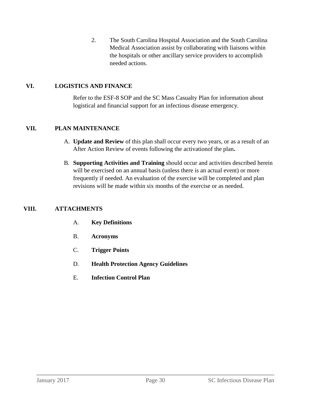2. The South Carolina Hospital Association and the South Carolina Medical Association assist by collaborating with liaisons within the hospitals or other ancillary service providers to accomplish needed actions.

#### **VI. LOGISTICS AND FINANCE**

Refer to the ESF-8 SOP and the SC Mass Casualty Plan for information about logistical and financial support for an infectious disease emergency.

#### **VII. PLAN MAINTENANCE**

- A. **Update and Review** of this plan shall occur every two years, or as a result of an After Action Review of events following the activationof the plan**.**
- B. **Supporting Activities and Training** should occur and activities described herein will be exercised on an annual basis (unless there is an actual event) or more frequently if needed. An evaluation of the exercise will be completed and plan revisions will be made within six months of the exercise or as needed.

# **VIII. ATTACHMENTS**

- A. **Key Definitions**
- B. **Acronyms**
- C. **Trigger Points**
- D. **Health Protection Agency Guidelines**
- E. **Infection Control Plan**